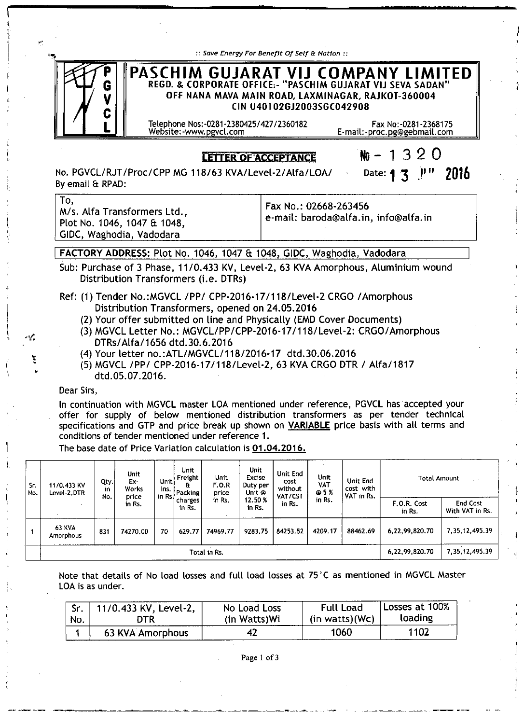| :: Save Energy For Benefit Of Self & Nation ::                                                                                                                                        |                                                      |
|---------------------------------------------------------------------------------------------------------------------------------------------------------------------------------------|------------------------------------------------------|
| PASCHIM GUJARAT VIJ COMPANY LIMITED<br>REGD. & CORPORATE OFFICE:- "PASCHIM GUJARAT VIJ SEVA SADAN"<br>OFF NANA MAVA MAIN ROAD, LAXMINAGAR, RAJKOT-360004<br>CIN U40102GJ2003SGC042908 |                                                      |
| Telephone Nos:-0281-2380425/427/2360182<br>Website:-www.pgvcl.com                                                                                                                     | Fax No: -0281-2368175<br>E-mail:-proc.pg@gebmail.com |
|                                                                                                                                                                                       | $\sim$ $\sim$ $\sim$ $\sim$ $\sim$                   |

## **LETTER OF ACCEPTANCE**

 $N_0$  – 1320 Date:  $13$   $11$ " 2016

No. PGVCL/RJT IProc/CPP MG *118163* KVA/Level-21 *Alfa/LOAI* Byemail & RPAD:

To, *Mis.* Alfa Transformers Ltd., Plot No. 1046, 1047 & 1048, GIDC, Waghodia, Vadodara

Fax No.: 02668-263456 e-mail: [baroda@alfa.in,](mailto:baroda@alfa.in,) [info@alfa.in](mailto:info@alfa.in)

## FACTORY ADDRESS: Plot No. 1046, 1047 & 1048, GIDC, Waghodia, Vadodara

Sub: Purchase of 3 Phase, *11/0.433* KV, Level-2, 63 KVA Amorphous, Aluminium wound Distribution Transformers (i.e. DTRs)

- Ref: (1) Tender No.:MGVCL /PP/ CPP-2016-17/118/Level-2 CRGO /Amorphous Distribution Transformers, opened on 24.05.2016
	- (2) Your offer submitted on line and Physically (EMD Cover Documents)
	- (3) MGVCL Letter No.: MGVCL/PP/CPP-2016-171118/Level-2: *CRGOI* Amorphous *DTRs/Atfa/1656* dtd.30.6.2016
	- (4) Your letter nO.:ATL/MGVCL/118/2016-17 dtd.30.06.2016
	- (5) MGVCL *IPPI* CPP-2016-17/118/Level-2, 63 KVA CRGO DTR *I Alfa/1817* dtd.05.07.2016.

### Dear Sirs,

In continuation with MGVCL master LOA mentioned under reference, PGVCL has accepted your offer for supply of below mentioned distribution transformers as per tender technical specifications and GTP and price break up shown on VARIABLE price basis with all terms and conditions of tender mentioned under reference 1.

The base date of Price Variation calculation is 01.04.2016.

-----\_.~-----~~.\_- -------- --~----~~-\_.\_--.

| Sr.<br>I No. | 11/0.433 KV<br>Level-2.DTR        | Qty.<br>in<br>No. | Unit<br>Ex-<br>Works<br>I in Rs   charges I<br>price<br>in Rs. | Unit<br>ins. | Unit<br>Unit<br>Freight<br>- Gr<br>Packing | F.O.R<br>price    | <b>Unit</b><br><b>Excise</b><br>Duty per<br>Unit @ | Unit End<br>cost<br>without<br>VAT/CST | Unit<br>VAT<br>@5% | Unit End<br>cost with<br>VAT in Rs. | Total Amount                |                   |
|--------------|-----------------------------------|-------------------|----------------------------------------------------------------|--------------|--------------------------------------------|-------------------|----------------------------------------------------|----------------------------------------|--------------------|-------------------------------------|-----------------------------|-------------------|
|              |                                   |                   |                                                                | in Rs.       | in Rs.                                     | 12.50 %<br>in Rs. | in Rs.                                             | in Rs.                                 |                    | F.O.R. Cost<br>in Rs.               | End Cost<br>With VAT in Rs. |                   |
|              | <b>63 KVA</b><br><b>Amorphous</b> | 831               | 74270.00                                                       | 70           | 629.77                                     | 74969.77          | 9283.75                                            | 84253.52                               | 4209.17            | 88462.69                            | 6,22,99,820.70              | 7, 35, 12, 495.39 |
|              | Total in Rs.                      |                   |                                                                |              |                                            |                   |                                                    | 6,22,99,820.70                         | 7, 35, 12, 495.39  |                                     |                             |                   |

Note that details of No load losses and full load losses at 75' C as mentioned in MGVCL Master LOA is as under.

| No. | 11/0.433 KV, Level-2, | No Load Loss  | <b>Full Load</b> | Losses at 100% |
|-----|-----------------------|---------------|------------------|----------------|
|     | DTR.                  | (in Watts) Wi | (in watts)(WC)   | loading        |
|     | 63 KVA Amorphous      |               | 1060             | 1102           |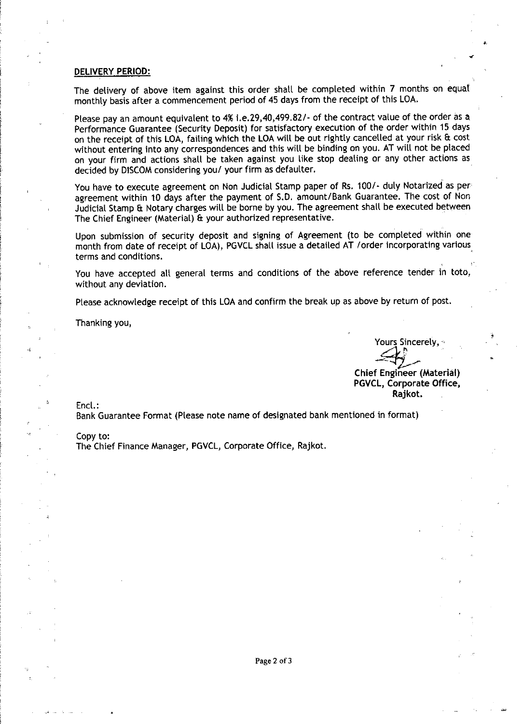### **DELIVERY PERIOD:**

The delivery of above item against this order shall be completed within 7 months on equal monthly basis after a commencement period of 45 days from the receipt of this LOA.

Please pay an amount equivalent to 4% i.e.29,40,499.82/- of the contract value of the order as a Performance Guarantee (Security Deposit) for satisfactory execution of the order within 15 days on the receipt of this LOA, failing which the LOAwill be out rightly cancelled at your risk & cost without entering into any correspondences and this will be binding on you. AT will not be placed on your firm and actions shall be taken against you like stop dealing or any other actions as decided by DISCOM considering you/ your firm as defaulter.

You have to execute agreement on Non Judicial Stamp paper of Rs. *1001-* duly Notarized as per agreement within 10 days after the payment of S.D. amount/Bank Guarantee. The cost of Non Judicial Stamp & Notary charges will be borne by you. The agreement shall be executed between The Chief Engineer (Material) & your authorized representative. .

Upon submission of security deposit and signing of Agreement (to be completed within one month from date of receipt of LOA), PGVCL shall issue a detailed AT /order incorporating various terms and conditions. .

You have accepted all general terms and conditions of the above reference tender in toto, without any deviation.

Please acknowledge receipt of this LOA and confirm the break up as above by return of post.

Thanking you,

Yours Sincerely," .  $\rightarrow$  .  $\rightarrow$  .

.,

,

•

Chief Engineer (Material) PGVCL, Corporate Office. Rajkot.

Encl.:

Bank Guarantee Format (Please note name of designated bank mentioned in format)

#### Copy to:

The Chief Finance Manager, PGVCL, Corporate Office, Rajkot.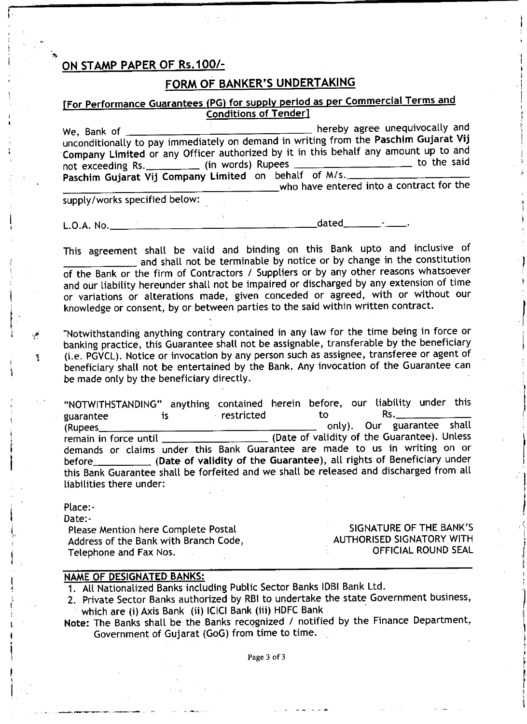# **ON STAMP PAPER OF** *RS.100/-*

i•••-------------~~--------------------------

!.

I

< •

أتلي

L

.<br>ļ !

# **FORM OF BANKER'S UNDERTAKING**

I I |<br>|<br>|-I. ;<br>, !

> I i

> > |<br>|<br>|

I

1

,I I

> t I

> > I

I

I I

)

! ,

i

# [For Performance Guarantees (PG) for supply period as per Commercial Terms and Conditions of Tender]

We, Bank of **hereby** agree unequivocally and unconditionally to pay immediately on demand in writing from the Paschim Gujarat Vij Company Limited or any Officer authorized by it in this behalf any amount up to and<br>not exceeding Rs (in words) Rupees not exceeding Rs. \_\_\_\_\_\_\_\_\_\_ (in words) Rupees Paschim Gujarat Vij Company Limited on behalf of M/s. who have entered into a contract for the

supply/works specified below:

L.O.A. No. ~ dated \_

This agreement shall be valid and binding on this Bank upto and inclusive of  $_+$  and shall not be terminable by notice or by change in the constitution of the Bank or the firm of Contractors / Suppliers or by any other reasons whatsoever and our liability hereunder shall not be impaired or discharged by any extension of time or variations or alterations made, given conceded or agreed, with or without our knowledge or consent, by or between parties to the said within written contract.

"Notwithstanding anything contrary contained in any law for the time being in force or banking practice, this Guarantee shall not be assignable, transferable by the beneficiary (i.e. PGVCL). Notice or invocation by any person such as assignee, transferee or agent of beneficiary shall not be entertained by the Bank. Any invocation of the Guarantee can be made only by the beneficiary directly.

"NOTWITHSTANDING" anything contained herein before, our liability under this guarantee is restricted to Rs. (Rupees.\_\_\_\_\_\_\_\_\_\_\_\_\_\_\_\_\_\_ only). Our guarantee shall remain in force until \_\_\_\_\_\_\_\_\_\_\_\_\_\_\_\_\_\_\_\_\_\_ (Date of validity of the Guarantee). Unless demands or claims under this Bank Guarantee are made to us in writing on or before \_\_\_\_\_\_\_\_\_\_\_\_\_ (Date of validity of the Guarantee), all rights of Beneficiary under this Bank Guarantee shall be forfeited and we shall be released and discharged from all liabilities there under:

| Place:-                                                         |                                                  |
|-----------------------------------------------------------------|--------------------------------------------------|
| Date:-<br>Please Mention here Complete Postal                   | SIGNATURE OF THE BANK'S                          |
| Address of the Bank with Branch Code,<br>Telephone and Fax Nos. | AUTHORISED SIGNATORY WITH<br>OFFICIAL ROUND SEAL |

## **NAME OF DESIGNATED BANKS:**

1. All Nationalized Banks including Public Sector Banks lOBI Bank Ltd.

- 2. Private Sector Banks authorized by RBI to undertake the state Government business, which are (i) Axis Bank (ii) ICICI Bank (iii) HDFC Bank.
- Note: The Banks shall be the Banks recognized / notified by the Finance Department, Government of Gujarat (GoG) from time to time.